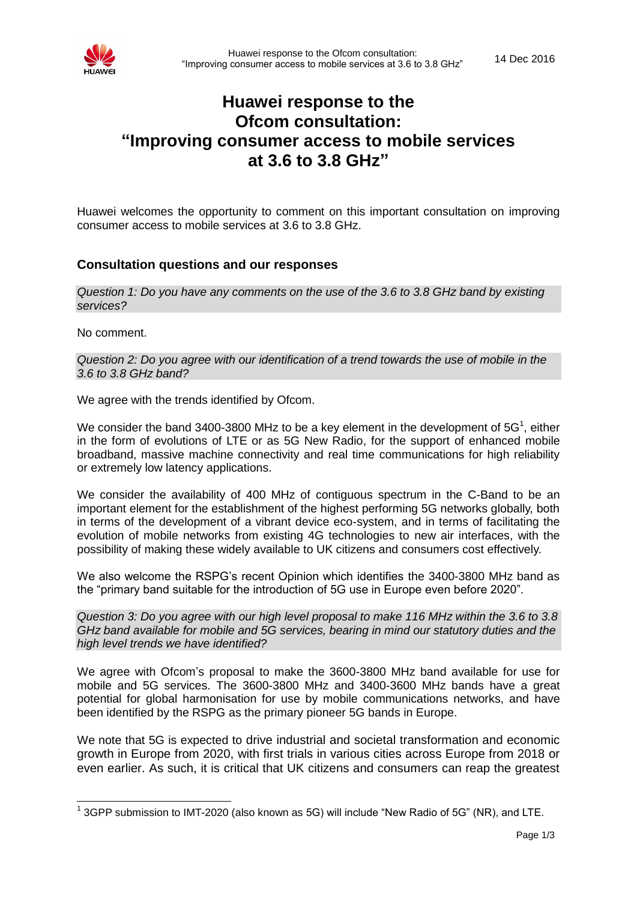

# **Huawei response to the Ofcom consultation: "Improving consumer access to mobile services at 3.6 to 3.8 GHz"**

Huawei welcomes the opportunity to comment on this important consultation on improving consumer access to mobile services at 3.6 to 3.8 GHz.

# **Consultation questions and our responses**

*Question 1: Do you have any comments on the use of the 3.6 to 3.8 GHz band by existing services?* 

No comment.

-

*Question 2: Do you agree with our identification of a trend towards the use of mobile in the 3.6 to 3.8 GHz band?* 

We agree with the trends identified by Ofcom.

We consider the band 3400-3800 MHz to be a key element in the development of 5G<sup>1</sup>, either in the form of evolutions of LTE or as 5G New Radio, for the support of enhanced mobile broadband, massive machine connectivity and real time communications for high reliability or extremely low latency applications.

We consider the availability of 400 MHz of contiguous spectrum in the C-Band to be an important element for the establishment of the highest performing 5G networks globally, both in terms of the development of a vibrant device eco-system, and in terms of facilitating the evolution of mobile networks from existing 4G technologies to new air interfaces, with the possibility of making these widely available to UK citizens and consumers cost effectively.

We also welcome the RSPG's recent Opinion which identifies the 3400-3800 MHz band as the "primary band suitable for the introduction of 5G use in Europe even before 2020".

*Question 3: Do you agree with our high level proposal to make 116 MHz within the 3.6 to 3.8 GHz band available for mobile and 5G services, bearing in mind our statutory duties and the high level trends we have identified?*

We agree with Ofcom's proposal to make the 3600-3800 MHz band available for use for mobile and 5G services. The 3600-3800 MHz and 3400-3600 MHz bands have a great potential for global harmonisation for use by mobile communications networks, and have been identified by the RSPG as the primary pioneer 5G bands in Europe.

We note that 5G is expected to drive industrial and societal transformation and economic growth in Europe from 2020, with first trials in various cities across Europe from 2018 or even earlier. As such, it is critical that UK citizens and consumers can reap the greatest

 $^1$  3GPP submission to IMT-2020 (also known as 5G) will include "New Radio of 5G" (NR), and LTE.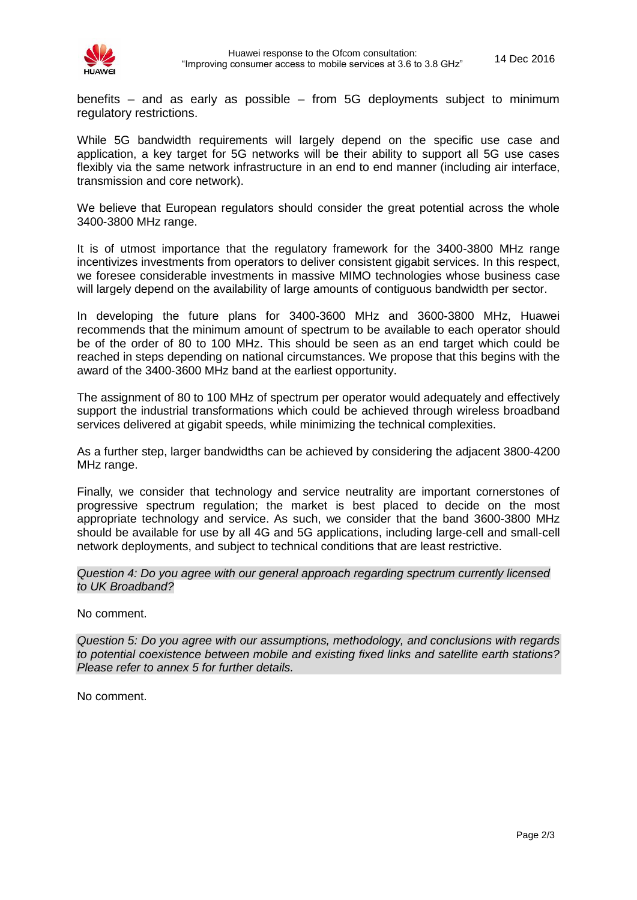

benefits – and as early as possible – from 5G deployments subject to minimum regulatory restrictions.

While 5G bandwidth requirements will largely depend on the specific use case and application, a key target for 5G networks will be their ability to support all 5G use cases flexibly via the same network infrastructure in an end to end manner (including air interface, transmission and core network).

We believe that European regulators should consider the great potential across the whole 3400-3800 MHz range.

It is of utmost importance that the regulatory framework for the 3400-3800 MHz range incentivizes investments from operators to deliver consistent gigabit services. In this respect, we foresee considerable investments in massive MIMO technologies whose business case will largely depend on the availability of large amounts of contiguous bandwidth per sector.

In developing the future plans for 3400-3600 MHz and 3600-3800 MHz, Huawei recommends that the minimum amount of spectrum to be available to each operator should be of the order of 80 to 100 MHz. This should be seen as an end target which could be reached in steps depending on national circumstances. We propose that this begins with the award of the 3400-3600 MHz band at the earliest opportunity.

The assignment of 80 to 100 MHz of spectrum per operator would adequately and effectively support the industrial transformations which could be achieved through wireless broadband services delivered at gigabit speeds, while minimizing the technical complexities.

As a further step, larger bandwidths can be achieved by considering the adjacent 3800-4200 MHz range.

Finally, we consider that technology and service neutrality are important cornerstones of progressive spectrum regulation; the market is best placed to decide on the most appropriate technology and service. As such, we consider that the band 3600-3800 MHz should be available for use by all 4G and 5G applications, including large-cell and small-cell network deployments, and subject to technical conditions that are least restrictive.

*Question 4: Do you agree with our general approach regarding spectrum currently licensed to UK Broadband?*

No comment.

*Question 5: Do you agree with our assumptions, methodology, and conclusions with regards to potential coexistence between mobile and existing fixed links and satellite earth stations? Please refer to annex 5 for further details.*

No comment.